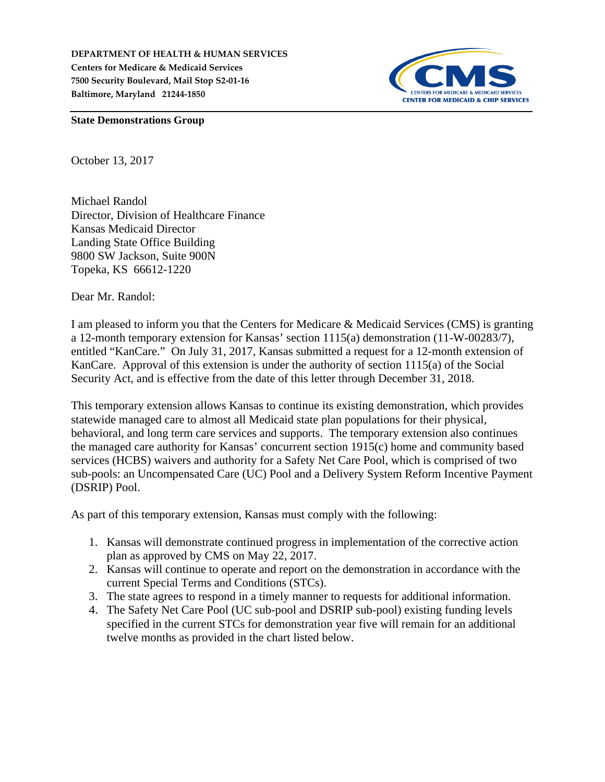**DEPARTMENT OF HEALTH & HUMAN SERVICES Centers for Medicare & Medicaid Services 7500 Security Boulevard, Mail Stop S2-01-16 Baltimore, Maryland 21244-1850**



**State Demonstrations Group**

October 13, 2017

Michael Randol Director, Division of Healthcare Finance Kansas Medicaid Director Landing State Office Building 9800 SW Jackson, Suite 900N Topeka, KS 66612-1220

Dear Mr. Randol:

I am pleased to inform you that the Centers for Medicare & Medicaid Services (CMS) is granting a 12-month temporary extension for Kansas' section 1115(a) demonstration (11-W-00283/7), entitled "KanCare." On July 31, 2017, Kansas submitted a request for a 12-month extension of KanCare. Approval of this extension is under the authority of section 1115(a) of the Social Security Act, and is effective from the date of this letter through December 31, 2018.

This temporary extension allows Kansas to continue its existing demonstration, which provides statewide managed care to almost all Medicaid state plan populations for their physical, behavioral, and long term care services and supports. The temporary extension also continues the managed care authority for Kansas' concurrent section 1915(c) home and community based services (HCBS) waivers and authority for a Safety Net Care Pool, which is comprised of two sub-pools: an Uncompensated Care (UC) Pool and a Delivery System Reform Incentive Payment (DSRIP) Pool.

As part of this temporary extension, Kansas must comply with the following:

- 1. Kansas will demonstrate continued progress in implementation of the corrective action plan as approved by CMS on May 22, 2017.
- 2. Kansas will continue to operate and report on the demonstration in accordance with the current Special Terms and Conditions (STCs).
- 3. The state agrees to respond in a timely manner to requests for additional information.
- 4. The Safety Net Care Pool (UC sub-pool and DSRIP sub-pool) existing funding levels specified in the current STCs for demonstration year five will remain for an additional twelve months as provided in the chart listed below.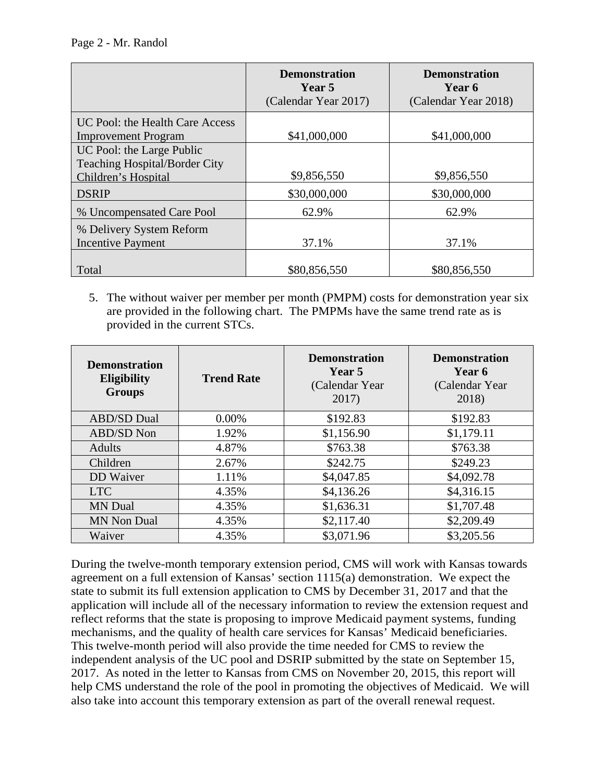Page 2 - Mr. Randol

|                                                                   | <b>Demonstration</b><br>Year 5<br>(Calendar Year 2017) | <b>Demonstration</b><br>Year 6<br>(Calendar Year 2018) |
|-------------------------------------------------------------------|--------------------------------------------------------|--------------------------------------------------------|
| UC Pool: the Health Care Access<br><b>Improvement Program</b>     | \$41,000,000                                           | \$41,000,000                                           |
| UC Pool: the Large Public<br><b>Teaching Hospital/Border City</b> |                                                        |                                                        |
| Children's Hospital                                               | \$9,856,550                                            | \$9,856,550                                            |
| <b>DSRIP</b>                                                      | \$30,000,000                                           | \$30,000,000                                           |
| % Uncompensated Care Pool                                         | 62.9%                                                  | 62.9%                                                  |
| % Delivery System Reform                                          |                                                        |                                                        |
| <b>Incentive Payment</b>                                          | 37.1%                                                  | 37.1%                                                  |
| Total                                                             | \$80,856,550                                           | \$80,856,550                                           |

5. The without waiver per member per month (PMPM) costs for demonstration year six are provided in the following chart. The PMPMs have the same trend rate as is provided in the current STCs.

| <b>Demonstration</b><br><b>Eligibility</b><br><b>Groups</b> | <b>Trend Rate</b> | <b>Demonstration</b><br>Year 5<br>(Calendar Year)<br>2017) | <b>Demonstration</b><br>Year 6<br>(Calendar Year)<br>2018) |
|-------------------------------------------------------------|-------------------|------------------------------------------------------------|------------------------------------------------------------|
| <b>ABD/SD Dual</b>                                          | $0.00\%$          | \$192.83                                                   | \$192.83                                                   |
| ABD/SD Non                                                  | 1.92%             | \$1,156.90                                                 | \$1,179.11                                                 |
| Adults                                                      | 4.87%             | \$763.38                                                   | \$763.38                                                   |
| Children                                                    | 2.67%             | \$242.75                                                   | \$249.23                                                   |
| <b>DD</b> Waiver                                            | 1.11%             | \$4,047.85                                                 | \$4,092.78                                                 |
| <b>LTC</b>                                                  | 4.35%             | \$4,136.26                                                 | \$4,316.15                                                 |
| <b>MN</b> Dual                                              | 4.35%             | \$1,636.31                                                 | \$1,707.48                                                 |
| <b>MN Non Dual</b>                                          | 4.35%             | \$2,117.40                                                 | \$2,209.49                                                 |
| Waiver                                                      | 4.35%             | \$3,071.96                                                 | \$3,205.56                                                 |

During the twelve-month temporary extension period, CMS will work with Kansas towards agreement on a full extension of Kansas' section 1115(a) demonstration. We expect the state to submit its full extension application to CMS by December 31, 2017 and that the application will include all of the necessary information to review the extension request and reflect reforms that the state is proposing to improve Medicaid payment systems, funding mechanisms, and the quality of health care services for Kansas' Medicaid beneficiaries. This twelve-month period will also provide the time needed for CMS to review the independent analysis of the UC pool and DSRIP submitted by the state on September 15, 2017. As noted in the letter to Kansas from CMS on November 20, 2015, this report will help CMS understand the role of the pool in promoting the objectives of Medicaid. We will also take into account this temporary extension as part of the overall renewal request.